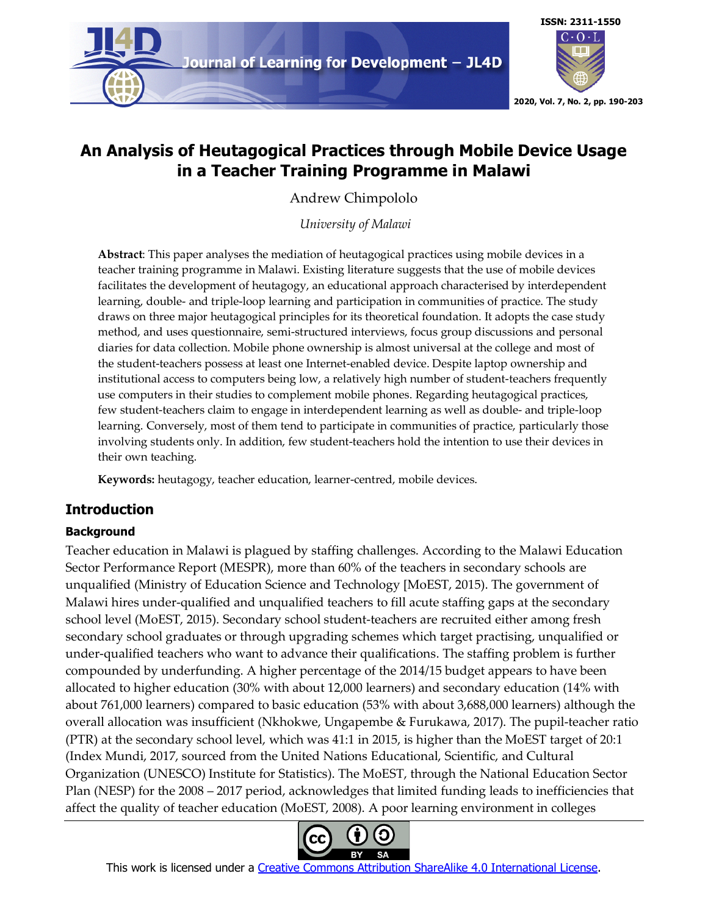



# **An Analysis of Heutagogical Practices through Mobile Device Usage in a Teacher Training Programme in Malawi**

Andrew Chimpololo

*University of Malawi*

**Abstract**: This paper analyses the mediation of heutagogical practices using mobile devices in a teacher training programme in Malawi. Existing literature suggests that the use of mobile devices facilitates the development of heutagogy, an educational approach characterised by interdependent learning, double- and triple-loop learning and participation in communities of practice. The study draws on three major heutagogical principles for its theoretical foundation. It adopts the case study method, and uses questionnaire, semi-structured interviews, focus group discussions and personal diaries for data collection. Mobile phone ownership is almost universal at the college and most of the student-teachers possess at least one Internet-enabled device. Despite laptop ownership and institutional access to computers being low, a relatively high number of student-teachers frequently use computers in their studies to complement mobile phones. Regarding heutagogical practices, few student-teachers claim to engage in interdependent learning as well as double- and triple-loop learning. Conversely, most of them tend to participate in communities of practice, particularly those involving students only. In addition, few student-teachers hold the intention to use their devices in their own teaching.

**Keywords:** heutagogy, teacher education, learner-centred, mobile devices.

# **Introduction**

# **Background**

Teacher education in Malawi is plagued by staffing challenges. According to the Malawi Education Sector Performance Report (MESPR), more than 60% of the teachers in secondary schools are unqualified (Ministry of Education Science and Technology [MoEST, 2015). The government of Malawi hires under-qualified and unqualified teachers to fill acute staffing gaps at the secondary school level (MoEST, 2015). Secondary school student-teachers are recruited either among fresh secondary school graduates or through upgrading schemes which target practising, unqualified or under-qualified teachers who want to advance their qualifications. The staffing problem is further compounded by underfunding. A higher percentage of the 2014/15 budget appears to have been allocated to higher education (30% with about 12,000 learners) and secondary education (14% with about 761,000 learners) compared to basic education (53% with about 3,688,000 learners) although the overall allocation was insufficient (Nkhokwe, Ungapembe & Furukawa, 2017). The pupil-teacher ratio (PTR) at the secondary school level, which was 41:1 in 2015, is higher than the MoEST target of 20:1 (Index Mundi, 2017, sourced from the United Nations Educational, Scientific, and Cultural Organization (UNESCO) Institute for Statistics). The MoEST, through the National Education Sector Plan (NESP) for the 2008 – 2017 period, acknowledges that limited funding leads to inefficiencies that affect the quality of teacher education (MoEST, 2008). A poor learning environment in colleges

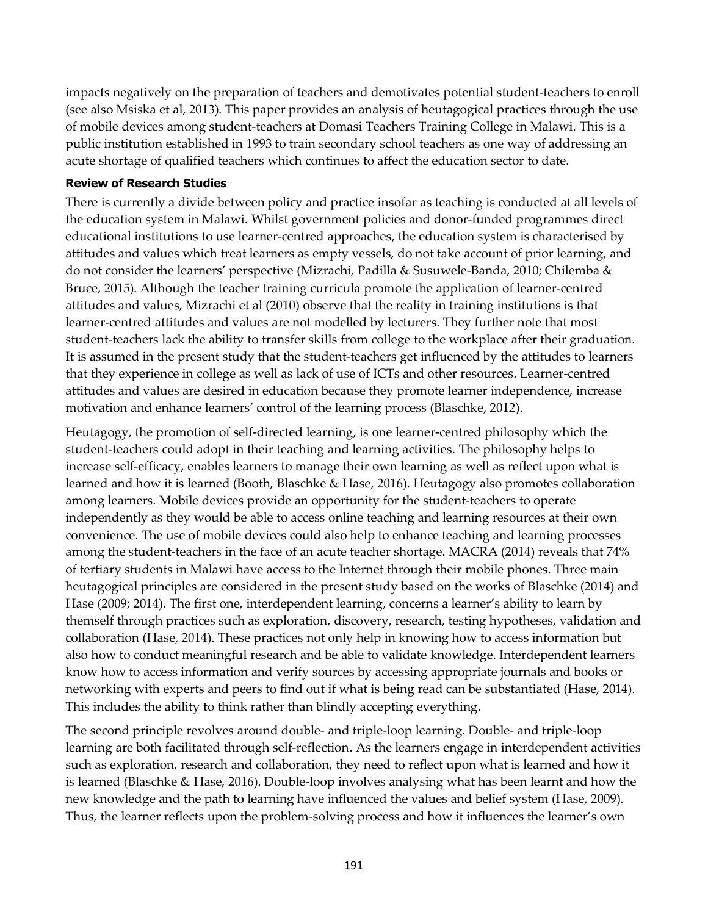impacts negatively on the preparation of teachers and demotivates potential student-teachers to enroll (see also Msiska et al, 2013). This paper provides an analysis of heutagogical practices through the use of mobile devices among student-teachers at Domasi Teachers Training College in Malawi. This is a public institution established in 1993 to train secondary school teachers as one way of addressing an acute shortage of qualified teachers which continues to affect the education sector to date.

#### **Review of Research Studies**

There is currently a divide between policy and practice insofar as teaching is conducted at all levels of the education system in Malawi. Whilst government policies and donor-funded programmes direct educational institutions to use learner-centred approaches, the education system is characterised by attitudes and values which treat learners as empty vessels, do not take account of prior learning, and do not consider the learners' perspective (Mizrachi, Padilla & Susuwele-Banda, 2010; Chilemba & Bruce, 2015). Although the teacher training curricula promote the application of learner-centred attitudes and values, Mizrachi et al (2010) observe that the reality in training institutions is that learner-centred attitudes and values are not modelled by lecturers. They further note that most student-teachers lack the ability to transfer skills from college to the workplace after their graduation. It is assumed in the present study that the student-teachers get influenced by the attitudes to learners that they experience in college as well as lack of use of ICTs and other resources. Learner-centred attitudes and values are desired in education because they promote learner independence, increase motivation and enhance learners' control of the learning process (Blaschke, 2012).

Heutagogy, the promotion of self-directed learning, is one learner-centred philosophy which the student-teachers could adopt in their teaching and learning activities. The philosophy helps to increase self-efficacy, enables learners to manage their own learning as well as reflect upon what is learned and how it is learned (Booth, Blaschke & Hase, 2016). Heutagogy also promotes collaboration among learners. Mobile devices provide an opportunity for the student-teachers to operate independently as they would be able to access online teaching and learning resources at their own convenience. The use of mobile devices could also help to enhance teaching and learning processes among the student-teachers in the face of an acute teacher shortage. MACRA (2014) reveals that 74% of tertiary students in Malawi have access to the Internet through their mobile phones. Three main heutagogical principles are considered in the present study based on the works of Blaschke (2014) and Hase (2009; 2014). The first one, interdependent learning, concerns a learner's ability to learn by themself through practices such as exploration, discovery, research, testing hypotheses, validation and collaboration (Hase, 2014). These practices not only help in knowing how to access information but also how to conduct meaningful research and be able to validate knowledge. Interdependent learners know how to access information and verify sources by accessing appropriate journals and books or networking with experts and peers to find out if what is being read can be substantiated (Hase, 2014). This includes the ability to think rather than blindly accepting everything.

The second principle revolves around double- and triple-loop learning. Double- and triple-loop learning are both facilitated through self-reflection. As the learners engage in interdependent activities such as exploration, research and collaboration, they need to reflect upon what is learned and how it is learned (Blaschke & Hase, 2016). Double-loop involves analysing what has been learnt and how the new knowledge and the path to learning have influenced the values and belief system (Hase, 2009). Thus, the learner reflects upon the problem-solving process and how it influences the learner's own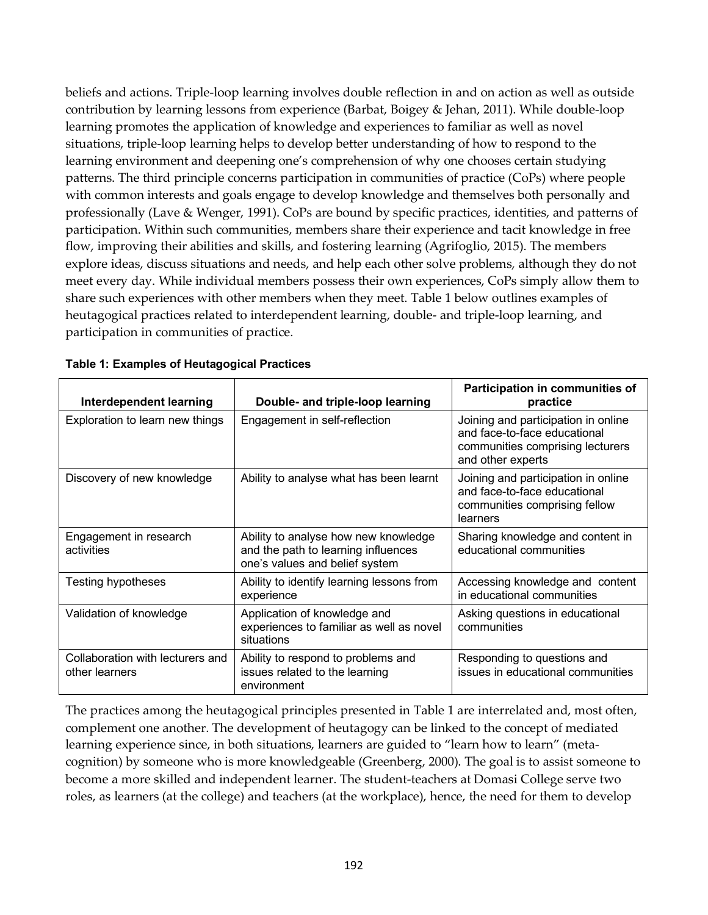beliefs and actions. Triple-loop learning involves double reflection in and on action as well as outside contribution by learning lessons from experience (Barbat, Boigey & Jehan, 2011). While double-loop learning promotes the application of knowledge and experiences to familiar as well as novel situations, triple-loop learning helps to develop better understanding of how to respond to the learning environment and deepening one's comprehension of why one chooses certain studying patterns. The third principle concerns participation in communities of practice (CoPs) where people with common interests and goals engage to develop knowledge and themselves both personally and professionally (Lave & Wenger, 1991). CoPs are bound by specific practices, identities, and patterns of participation. Within such communities, members share their experience and tacit knowledge in free flow, improving their abilities and skills, and fostering learning (Agrifoglio, 2015). The members explore ideas, discuss situations and needs, and help each other solve problems, although they do not meet every day. While individual members possess their own experiences, CoPs simply allow them to share such experiences with other members when they meet. Table 1 below outlines examples of heutagogical practices related to interdependent learning, double- and triple-loop learning, and participation in communities of practice.

| Interdependent learning                            | Double- and triple-loop learning                                                                              | Participation in communities of<br>practice                                                                                  |
|----------------------------------------------------|---------------------------------------------------------------------------------------------------------------|------------------------------------------------------------------------------------------------------------------------------|
| Exploration to learn new things                    | Engagement in self-reflection                                                                                 | Joining and participation in online<br>and face-to-face educational<br>communities comprising lecturers<br>and other experts |
| Discovery of new knowledge                         | Ability to analyse what has been learnt                                                                       | Joining and participation in online<br>and face-to-face educational<br>communities comprising fellow<br>learners             |
| Engagement in research<br>activities               | Ability to analyse how new knowledge<br>and the path to learning influences<br>one's values and belief system | Sharing knowledge and content in<br>educational communities                                                                  |
| <b>Testing hypotheses</b>                          | Ability to identify learning lessons from<br>experience                                                       | Accessing knowledge and content<br>in educational communities                                                                |
| Validation of knowledge                            | Application of knowledge and<br>experiences to familiar as well as novel<br>situations                        | Asking questions in educational<br>communities                                                                               |
| Collaboration with lecturers and<br>other learners | Ability to respond to problems and<br>issues related to the learning<br>environment                           | Responding to questions and<br>issues in educational communities                                                             |

The practices among the heutagogical principles presented in Table 1 are interrelated and, most often, complement one another. The development of heutagogy can be linked to the concept of mediated learning experience since, in both situations, learners are guided to "learn how to learn" (metacognition) by someone who is more knowledgeable (Greenberg, 2000). The goal is to assist someone to become a more skilled and independent learner. The student-teachers at Domasi College serve two roles, as learners (at the college) and teachers (at the workplace), hence, the need for them to develop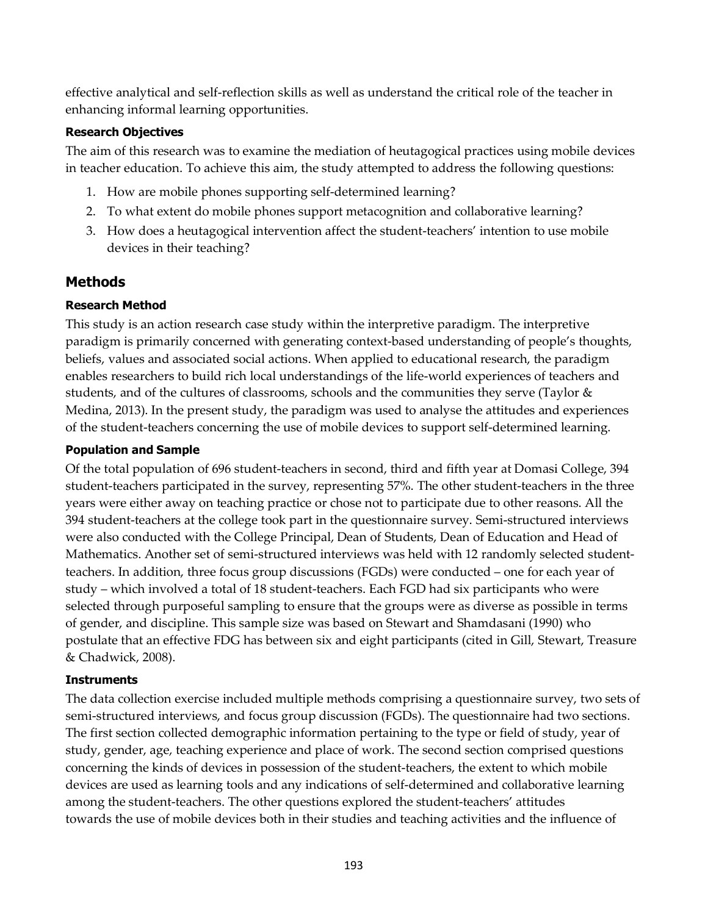effective analytical and self-reflection skills as well as understand the critical role of the teacher in enhancing informal learning opportunities.

# **Research Objectives**

The aim of this research was to examine the mediation of heutagogical practices using mobile devices in teacher education. To achieve this aim, the study attempted to address the following questions:

- 1. How are mobile phones supporting self-determined learning?
- 2. To what extent do mobile phones support metacognition and collaborative learning?
- 3. How does a heutagogical intervention affect the student-teachers' intention to use mobile devices in their teaching?

# **Methods**

# **Research Method**

This study is an action research case study within the interpretive paradigm. The interpretive paradigm is primarily concerned with generating context-based understanding of people's thoughts, beliefs, values and associated social actions. When applied to educational research, the paradigm enables researchers to build rich local understandings of the life-world experiences of teachers and students, and of the cultures of classrooms, schools and the communities they serve (Taylor & Medina, 2013). In the present study, the paradigm was used to analyse the attitudes and experiences of the student-teachers concerning the use of mobile devices to support self-determined learning.

# **Population and Sample**

Of the total population of 696 student-teachers in second, third and fifth year at Domasi College, 394 student-teachers participated in the survey, representing 57%. The other student-teachers in the three years were either away on teaching practice or chose not to participate due to other reasons. All the 394 student-teachers at the college took part in the questionnaire survey. Semi-structured interviews were also conducted with the College Principal, Dean of Students, Dean of Education and Head of Mathematics. Another set of semi-structured interviews was held with 12 randomly selected studentteachers. In addition, three focus group discussions (FGDs) were conducted – one for each year of study – which involved a total of 18 student-teachers. Each FGD had six participants who were selected through purposeful sampling to ensure that the groups were as diverse as possible in terms of gender, and discipline. This sample size was based on Stewart and Shamdasani (1990) who postulate that an effective FDG has between six and eight participants (cited in Gill, Stewart, Treasure & Chadwick, 2008).

# **Instruments**

The data collection exercise included multiple methods comprising a questionnaire survey, two sets of semi-structured interviews, and focus group discussion (FGDs). The questionnaire had two sections. The first section collected demographic information pertaining to the type or field of study, year of study, gender, age, teaching experience and place of work. The second section comprised questions concerning the kinds of devices in possession of the student-teachers, the extent to which mobile devices are used as learning tools and any indications of self-determined and collaborative learning among the student-teachers. The other questions explored the student-teachers' attitudes towards the use of mobile devices both in their studies and teaching activities and the influence of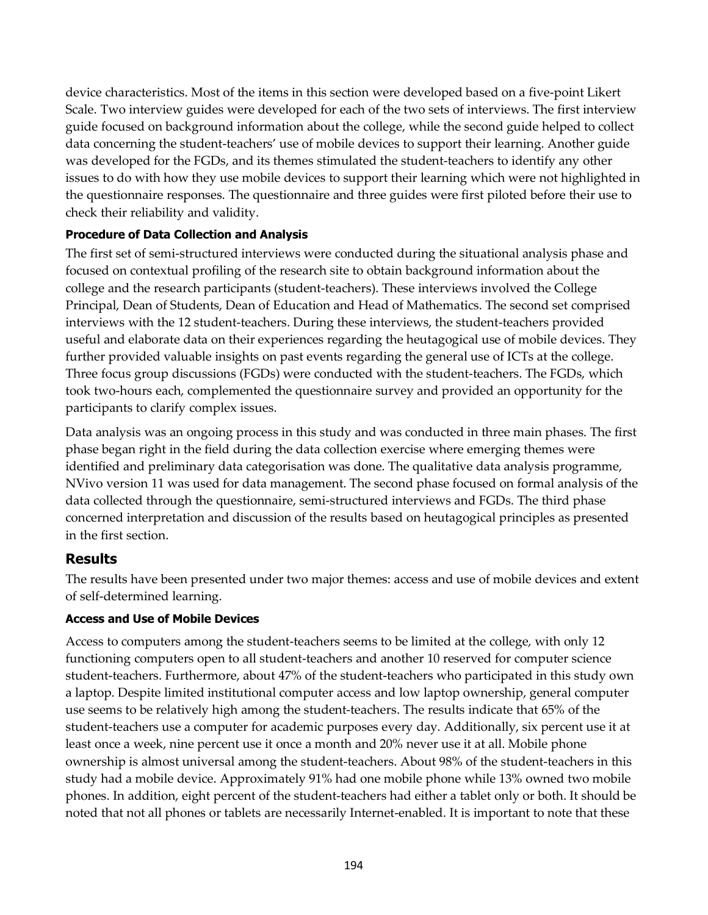device characteristics. Most of the items in this section were developed based on a five-point Likert Scale. Two interview guides were developed for each of the two sets of interviews. The first interview guide focused on background information about the college, while the second guide helped to collect data concerning the student-teachers' use of mobile devices to support their learning. Another guide was developed for the FGDs, and its themes stimulated the student-teachers to identify any other issues to do with how they use mobile devices to support their learning which were not highlighted in the questionnaire responses. The questionnaire and three guides were first piloted before their use to check their reliability and validity.

# **Procedure of Data Collection and Analysis**

The first set of semi-structured interviews were conducted during the situational analysis phase and focused on contextual profiling of the research site to obtain background information about the college and the research participants (student-teachers). These interviews involved the College Principal, Dean of Students, Dean of Education and Head of Mathematics. The second set comprised interviews with the 12 student-teachers. During these interviews, the student-teachers provided useful and elaborate data on their experiences regarding the heutagogical use of mobile devices. They further provided valuable insights on past events regarding the general use of ICTs at the college. Three focus group discussions (FGDs) were conducted with the student-teachers. The FGDs, which took two-hours each, complemented the questionnaire survey and provided an opportunity for the participants to clarify complex issues.

Data analysis was an ongoing process in this study and was conducted in three main phases. The first phase began right in the field during the data collection exercise where emerging themes were identified and preliminary data categorisation was done. The qualitative data analysis programme, NVivo version 11 was used for data management. The second phase focused on formal analysis of the data collected through the questionnaire, semi-structured interviews and FGDs. The third phase concerned interpretation and discussion of the results based on heutagogical principles as presented in the first section.

# **Results**

The results have been presented under two major themes: access and use of mobile devices and extent of self-determined learning.

# **Access and Use of Mobile Devices**

Access to computers among the student-teachers seems to be limited at the college, with only 12 functioning computers open to all student-teachers and another 10 reserved for computer science student-teachers. Furthermore, about 47% of the student-teachers who participated in this study own a laptop. Despite limited institutional computer access and low laptop ownership, general computer use seems to be relatively high among the student-teachers. The results indicate that 65% of the student-teachers use a computer for academic purposes every day. Additionally, six percent use it at least once a week, nine percent use it once a month and 20% never use it at all. Mobile phone ownership is almost universal among the student-teachers. About 98% of the student-teachers in this study had a mobile device. Approximately 91% had one mobile phone while 13% owned two mobile phones. In addition, eight percent of the student-teachers had either a tablet only or both. It should be noted that not all phones or tablets are necessarily Internet-enabled. It is important to note that these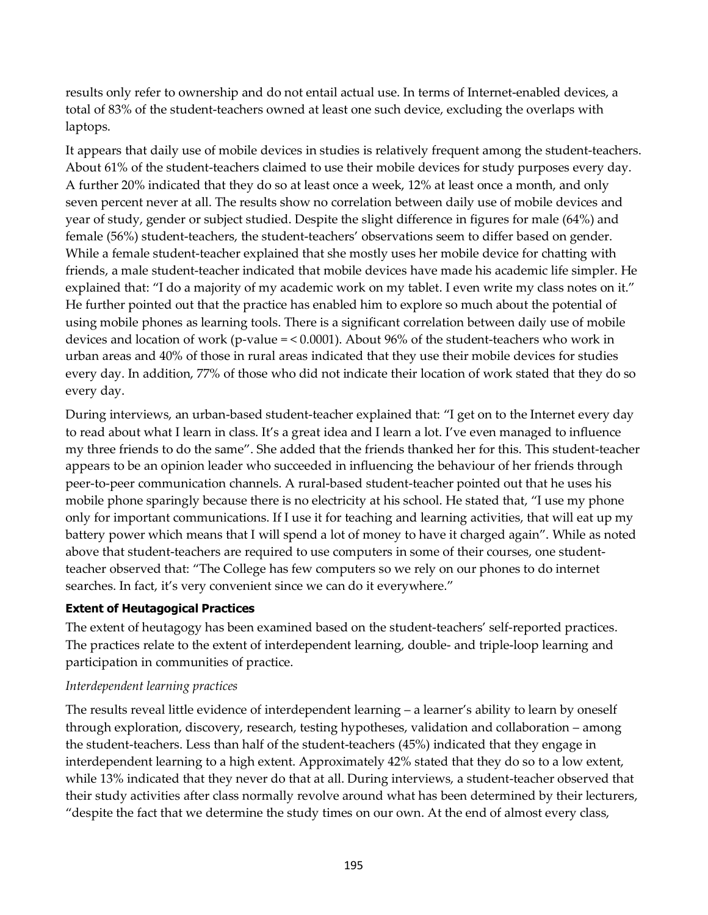results only refer to ownership and do not entail actual use. In terms of Internet-enabled devices, a total of 83% of the student-teachers owned at least one such device, excluding the overlaps with laptops.

It appears that daily use of mobile devices in studies is relatively frequent among the student-teachers. About 61% of the student-teachers claimed to use their mobile devices for study purposes every day. A further 20% indicated that they do so at least once a week, 12% at least once a month, and only seven percent never at all. The results show no correlation between daily use of mobile devices and year of study, gender or subject studied. Despite the slight difference in figures for male (64%) and female (56%) student-teachers, the student-teachers' observations seem to differ based on gender. While a female student-teacher explained that she mostly uses her mobile device for chatting with friends, a male student-teacher indicated that mobile devices have made his academic life simpler. He explained that: "I do a majority of my academic work on my tablet. I even write my class notes on it." He further pointed out that the practice has enabled him to explore so much about the potential of using mobile phones as learning tools. There is a significant correlation between daily use of mobile devices and location of work (p-value  $=$  < 0.0001). About 96% of the student-teachers who work in urban areas and 40% of those in rural areas indicated that they use their mobile devices for studies every day. In addition, 77% of those who did not indicate their location of work stated that they do so every day.

During interviews, an urban-based student-teacher explained that: "I get on to the Internet every day to read about what I learn in class. It's a great idea and I learn a lot. I've even managed to influence my three friends to do the same". She added that the friends thanked her for this. This student-teacher appears to be an opinion leader who succeeded in influencing the behaviour of her friends through peer-to-peer communication channels. A rural-based student-teacher pointed out that he uses his mobile phone sparingly because there is no electricity at his school. He stated that, "I use my phone only for important communications. If I use it for teaching and learning activities, that will eat up my battery power which means that I will spend a lot of money to have it charged again". While as noted above that student-teachers are required to use computers in some of their courses, one studentteacher observed that: "The College has few computers so we rely on our phones to do internet searches. In fact, it's very convenient since we can do it everywhere."

# **Extent of Heutagogical Practices**

The extent of heutagogy has been examined based on the student-teachers' self-reported practices. The practices relate to the extent of interdependent learning, double- and triple-loop learning and participation in communities of practice.

# *Interdependent learning practices*

The results reveal little evidence of interdependent learning – a learner's ability to learn by oneself through exploration, discovery, research, testing hypotheses, validation and collaboration – among the student-teachers. Less than half of the student-teachers (45%) indicated that they engage in interdependent learning to a high extent. Approximately 42% stated that they do so to a low extent, while 13% indicated that they never do that at all. During interviews, a student-teacher observed that their study activities after class normally revolve around what has been determined by their lecturers, "despite the fact that we determine the study times on our own. At the end of almost every class,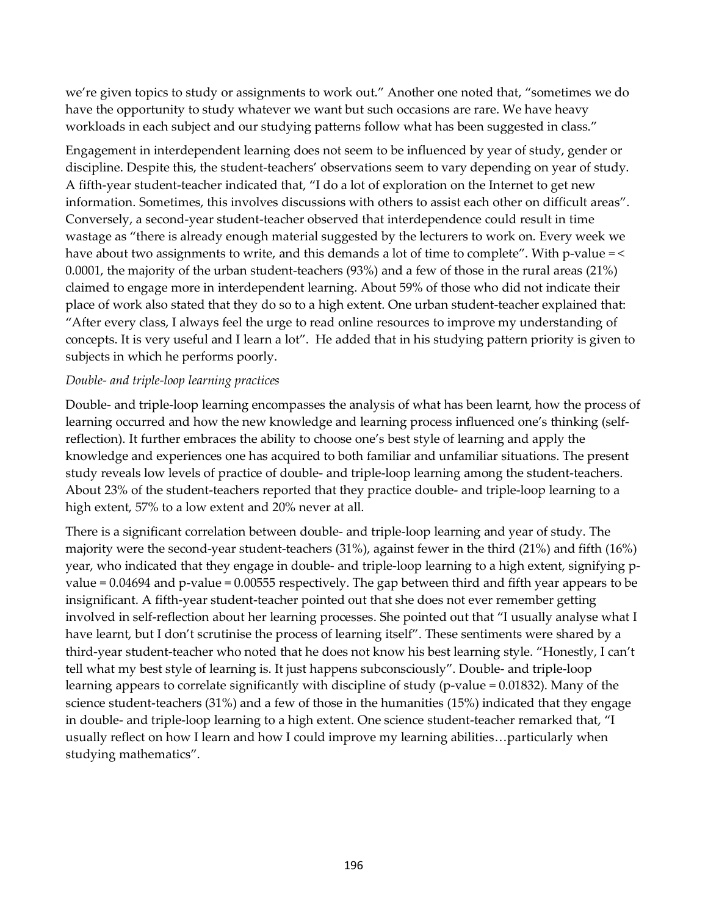we're given topics to study or assignments to work out." Another one noted that, "sometimes we do have the opportunity to study whatever we want but such occasions are rare. We have heavy workloads in each subject and our studying patterns follow what has been suggested in class."

Engagement in interdependent learning does not seem to be influenced by year of study, gender or discipline. Despite this, the student-teachers' observations seem to vary depending on year of study. A fifth-year student-teacher indicated that, "I do a lot of exploration on the Internet to get new information. Sometimes, this involves discussions with others to assist each other on difficult areas". Conversely, a second-year student-teacher observed that interdependence could result in time wastage as "there is already enough material suggested by the lecturers to work on. Every week we have about two assignments to write, and this demands a lot of time to complete". With p-value = < 0.0001, the majority of the urban student-teachers (93%) and a few of those in the rural areas (21%) claimed to engage more in interdependent learning. About 59% of those who did not indicate their place of work also stated that they do so to a high extent. One urban student-teacher explained that: "After every class, I always feel the urge to read online resources to improve my understanding of concepts. It is very useful and I learn a lot". He added that in his studying pattern priority is given to subjects in which he performs poorly.

# *Double- and triple-loop learning practices*

Double- and triple-loop learning encompasses the analysis of what has been learnt, how the process of learning occurred and how the new knowledge and learning process influenced one's thinking (selfreflection). It further embraces the ability to choose one's best style of learning and apply the knowledge and experiences one has acquired to both familiar and unfamiliar situations. The present study reveals low levels of practice of double- and triple-loop learning among the student-teachers. About 23% of the student-teachers reported that they practice double- and triple-loop learning to a high extent, 57% to a low extent and 20% never at all.

There is a significant correlation between double- and triple-loop learning and year of study. The majority were the second-year student-teachers (31%), against fewer in the third (21%) and fifth (16%) year, who indicated that they engage in double- and triple-loop learning to a high extent, signifying pvalue = 0.04694 and p-value = 0.00555 respectively. The gap between third and fifth year appears to be insignificant. A fifth-year student-teacher pointed out that she does not ever remember getting involved in self-reflection about her learning processes. She pointed out that "I usually analyse what I have learnt, but I don't scrutinise the process of learning itself". These sentiments were shared by a third-year student-teacher who noted that he does not know his best learning style. "Honestly, I can't tell what my best style of learning is. It just happens subconsciously". Double- and triple-loop learning appears to correlate significantly with discipline of study (p-value = 0.01832). Many of the science student-teachers (31%) and a few of those in the humanities (15%) indicated that they engage in double- and triple-loop learning to a high extent. One science student-teacher remarked that, "I usually reflect on how I learn and how I could improve my learning abilities…particularly when studying mathematics".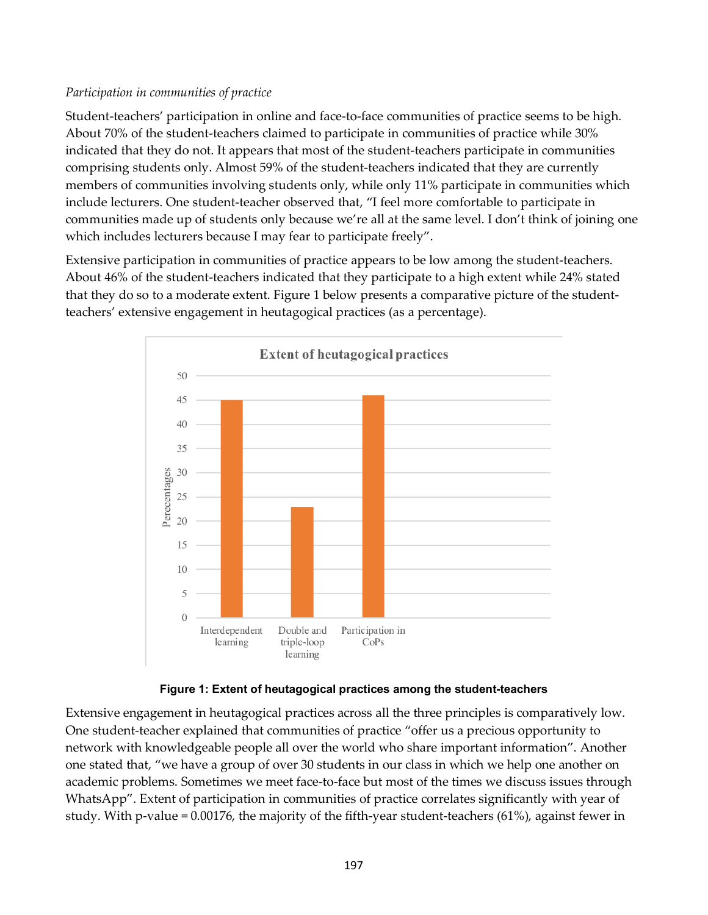# *Participation in communities of practice*

Student-teachers' participation in online and face-to-face communities of practice seems to be high. About 70% of the student-teachers claimed to participate in communities of practice while 30% indicated that they do not. It appears that most of the student-teachers participate in communities comprising students only. Almost 59% of the student-teachers indicated that they are currently members of communities involving students only, while only 11% participate in communities which include lecturers. One student-teacher observed that, "I feel more comfortable to participate in communities made up of students only because we're all at the same level. I don't think of joining one which includes lecturers because I may fear to participate freely".

Extensive participation in communities of practice appears to be low among the student-teachers. About 46% of the student-teachers indicated that they participate to a high extent while 24% stated that they do so to a moderate extent. Figure 1 below presents a comparative picture of the studentteachers' extensive engagement in heutagogical practices (as a percentage).



# **Figure 1: Extent of heutagogical practices among the student-teachers**

Extensive engagement in heutagogical practices across all the three principles is comparatively low. One student-teacher explained that communities of practice "offer us a precious opportunity to network with knowledgeable people all over the world who share important information". Another one stated that, "we have a group of over 30 students in our class in which we help one another on academic problems. Sometimes we meet face-to-face but most of the times we discuss issues through WhatsApp". Extent of participation in communities of practice correlates significantly with year of study. With p-value = 0.00176, the majority of the fifth-year student-teachers (61%), against fewer in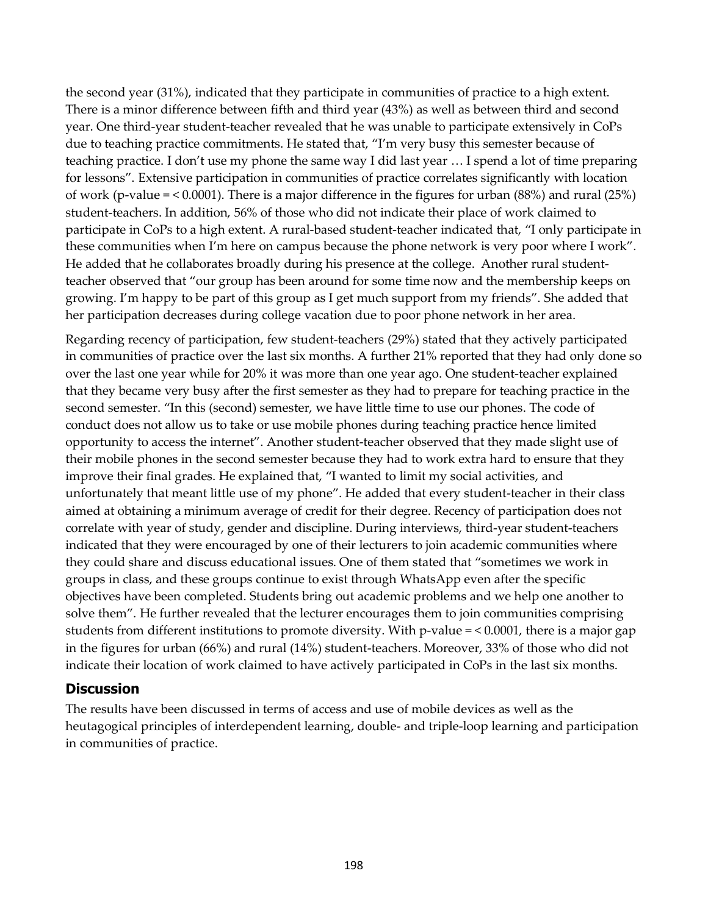the second year (31%), indicated that they participate in communities of practice to a high extent. There is a minor difference between fifth and third year (43%) as well as between third and second year. One third-year student-teacher revealed that he was unable to participate extensively in CoPs due to teaching practice commitments. He stated that, "I'm very busy this semester because of teaching practice. I don't use my phone the same way I did last year … I spend a lot of time preparing for lessons". Extensive participation in communities of practice correlates significantly with location of work (p-value = < 0.0001). There is a major difference in the figures for urban (88%) and rural (25%) student-teachers. In addition, 56% of those who did not indicate their place of work claimed to participate in CoPs to a high extent. A rural-based student-teacher indicated that, "I only participate in these communities when I'm here on campus because the phone network is very poor where I work". He added that he collaborates broadly during his presence at the college. Another rural studentteacher observed that "our group has been around for some time now and the membership keeps on growing. I'm happy to be part of this group as I get much support from my friends". She added that her participation decreases during college vacation due to poor phone network in her area.

Regarding recency of participation, few student-teachers (29%) stated that they actively participated in communities of practice over the last six months. A further 21% reported that they had only done so over the last one year while for 20% it was more than one year ago. One student-teacher explained that they became very busy after the first semester as they had to prepare for teaching practice in the second semester. "In this (second) semester, we have little time to use our phones. The code of conduct does not allow us to take or use mobile phones during teaching practice hence limited opportunity to access the internet". Another student-teacher observed that they made slight use of their mobile phones in the second semester because they had to work extra hard to ensure that they improve their final grades. He explained that, "I wanted to limit my social activities, and unfortunately that meant little use of my phone". He added that every student-teacher in their class aimed at obtaining a minimum average of credit for their degree. Recency of participation does not correlate with year of study, gender and discipline. During interviews, third-year student-teachers indicated that they were encouraged by one of their lecturers to join academic communities where they could share and discuss educational issues. One of them stated that "sometimes we work in groups in class, and these groups continue to exist through WhatsApp even after the specific objectives have been completed. Students bring out academic problems and we help one another to solve them". He further revealed that the lecturer encourages them to join communities comprising students from different institutions to promote diversity. With p-value = < 0.0001, there is a major gap in the figures for urban (66%) and rural (14%) student-teachers. Moreover, 33% of those who did not indicate their location of work claimed to have actively participated in CoPs in the last six months.

# **Discussion**

The results have been discussed in terms of access and use of mobile devices as well as the heutagogical principles of interdependent learning, double- and triple-loop learning and participation in communities of practice.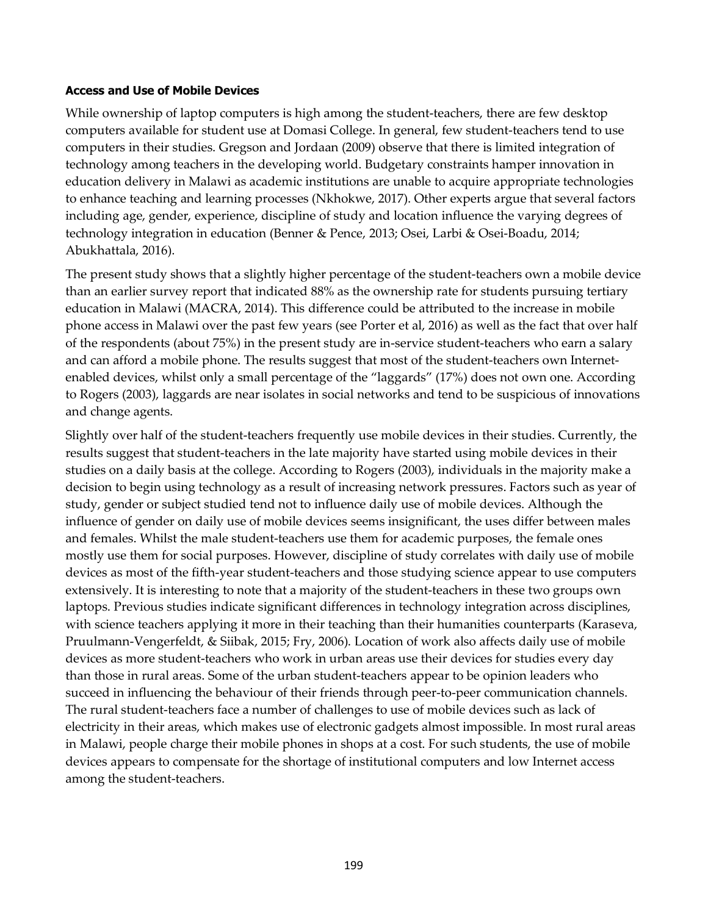#### **Access and Use of Mobile Devices**

While ownership of laptop computers is high among the student-teachers, there are few desktop computers available for student use at Domasi College. In general, few student-teachers tend to use computers in their studies. Gregson and Jordaan (2009) observe that there is limited integration of technology among teachers in the developing world. Budgetary constraints hamper innovation in education delivery in Malawi as academic institutions are unable to acquire appropriate technologies to enhance teaching and learning processes (Nkhokwe, 2017). Other experts argue that several factors including age, gender, experience, discipline of study and location influence the varying degrees of technology integration in education (Benner & Pence, 2013; Osei, Larbi & Osei-Boadu, 2014; Abukhattala, 2016).

The present study shows that a slightly higher percentage of the student-teachers own a mobile device than an earlier survey report that indicated 88% as the ownership rate for students pursuing tertiary education in Malawi (MACRA, 2014). This difference could be attributed to the increase in mobile phone access in Malawi over the past few years (see Porter et al, 2016) as well as the fact that over half of the respondents (about 75%) in the present study are in-service student-teachers who earn a salary and can afford a mobile phone. The results suggest that most of the student-teachers own Internetenabled devices, whilst only a small percentage of the "laggards" (17%) does not own one. According to Rogers (2003), laggards are near isolates in social networks and tend to be suspicious of innovations and change agents.

Slightly over half of the student-teachers frequently use mobile devices in their studies. Currently, the results suggest that student-teachers in the late majority have started using mobile devices in their studies on a daily basis at the college. According to Rogers (2003), individuals in the majority make a decision to begin using technology as a result of increasing network pressures. Factors such as year of study, gender or subject studied tend not to influence daily use of mobile devices. Although the influence of gender on daily use of mobile devices seems insignificant, the uses differ between males and females. Whilst the male student-teachers use them for academic purposes, the female ones mostly use them for social purposes. However, discipline of study correlates with daily use of mobile devices as most of the fifth-year student-teachers and those studying science appear to use computers extensively. It is interesting to note that a majority of the student-teachers in these two groups own laptops. Previous studies indicate significant differences in technology integration across disciplines, with science teachers applying it more in their teaching than their humanities counterparts (Karaseva, Pruulmann-Vengerfeldt, & Siibak, 2015; Fry, 2006). Location of work also affects daily use of mobile devices as more student-teachers who work in urban areas use their devices for studies every day than those in rural areas. Some of the urban student-teachers appear to be opinion leaders who succeed in influencing the behaviour of their friends through peer-to-peer communication channels. The rural student-teachers face a number of challenges to use of mobile devices such as lack of electricity in their areas, which makes use of electronic gadgets almost impossible. In most rural areas in Malawi, people charge their mobile phones in shops at a cost. For such students, the use of mobile devices appears to compensate for the shortage of institutional computers and low Internet access among the student-teachers.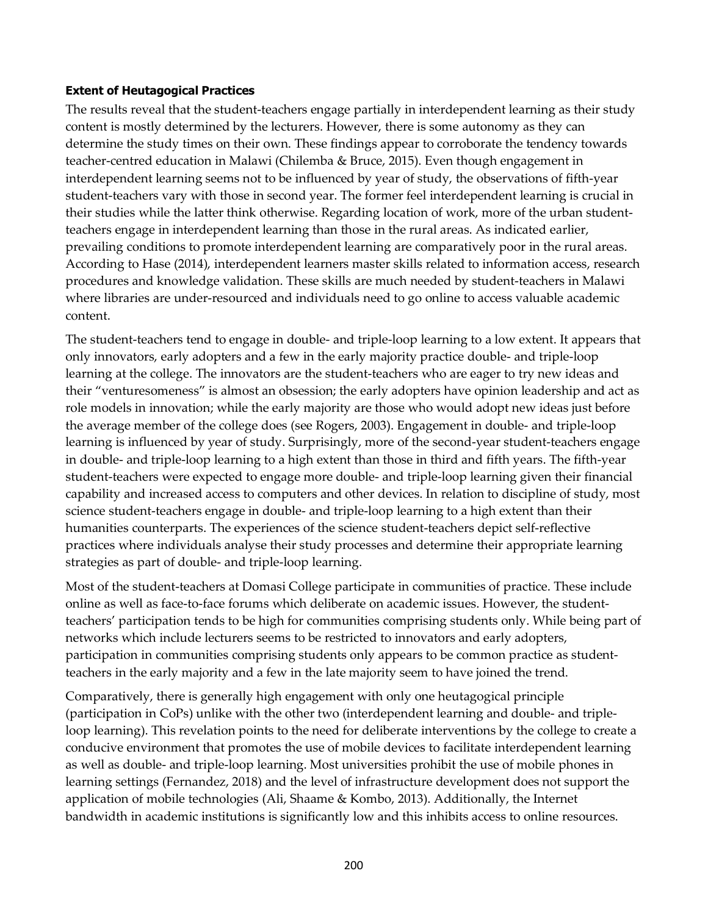#### **Extent of Heutagogical Practices**

The results reveal that the student-teachers engage partially in interdependent learning as their study content is mostly determined by the lecturers. However, there is some autonomy as they can determine the study times on their own. These findings appear to corroborate the tendency towards teacher-centred education in Malawi (Chilemba & Bruce, 2015). Even though engagement in interdependent learning seems not to be influenced by year of study, the observations of fifth-year student-teachers vary with those in second year. The former feel interdependent learning is crucial in their studies while the latter think otherwise. Regarding location of work, more of the urban studentteachers engage in interdependent learning than those in the rural areas. As indicated earlier, prevailing conditions to promote interdependent learning are comparatively poor in the rural areas. According to Hase (2014), interdependent learners master skills related to information access, research procedures and knowledge validation. These skills are much needed by student-teachers in Malawi where libraries are under-resourced and individuals need to go online to access valuable academic content.

The student-teachers tend to engage in double- and triple-loop learning to a low extent. It appears that only innovators, early adopters and a few in the early majority practice double- and triple-loop learning at the college. The innovators are the student-teachers who are eager to try new ideas and their "venturesomeness" is almost an obsession; the early adopters have opinion leadership and act as role models in innovation; while the early majority are those who would adopt new ideas just before the average member of the college does (see Rogers, 2003). Engagement in double- and triple-loop learning is influenced by year of study. Surprisingly, more of the second-year student-teachers engage in double- and triple-loop learning to a high extent than those in third and fifth years. The fifth-year student-teachers were expected to engage more double- and triple-loop learning given their financial capability and increased access to computers and other devices. In relation to discipline of study, most science student-teachers engage in double- and triple-loop learning to a high extent than their humanities counterparts. The experiences of the science student-teachers depict self-reflective practices where individuals analyse their study processes and determine their appropriate learning strategies as part of double- and triple-loop learning.

Most of the student-teachers at Domasi College participate in communities of practice. These include online as well as face-to-face forums which deliberate on academic issues. However, the studentteachers' participation tends to be high for communities comprising students only. While being part of networks which include lecturers seems to be restricted to innovators and early adopters, participation in communities comprising students only appears to be common practice as studentteachers in the early majority and a few in the late majority seem to have joined the trend.

Comparatively, there is generally high engagement with only one heutagogical principle (participation in CoPs) unlike with the other two (interdependent learning and double- and tripleloop learning). This revelation points to the need for deliberate interventions by the college to create a conducive environment that promotes the use of mobile devices to facilitate interdependent learning as well as double- and triple-loop learning. Most universities prohibit the use of mobile phones in learning settings (Fernandez, 2018) and the level of infrastructure development does not support the application of mobile technologies (Ali, Shaame & Kombo, 2013). Additionally, the Internet bandwidth in academic institutions is significantly low and this inhibits access to online resources.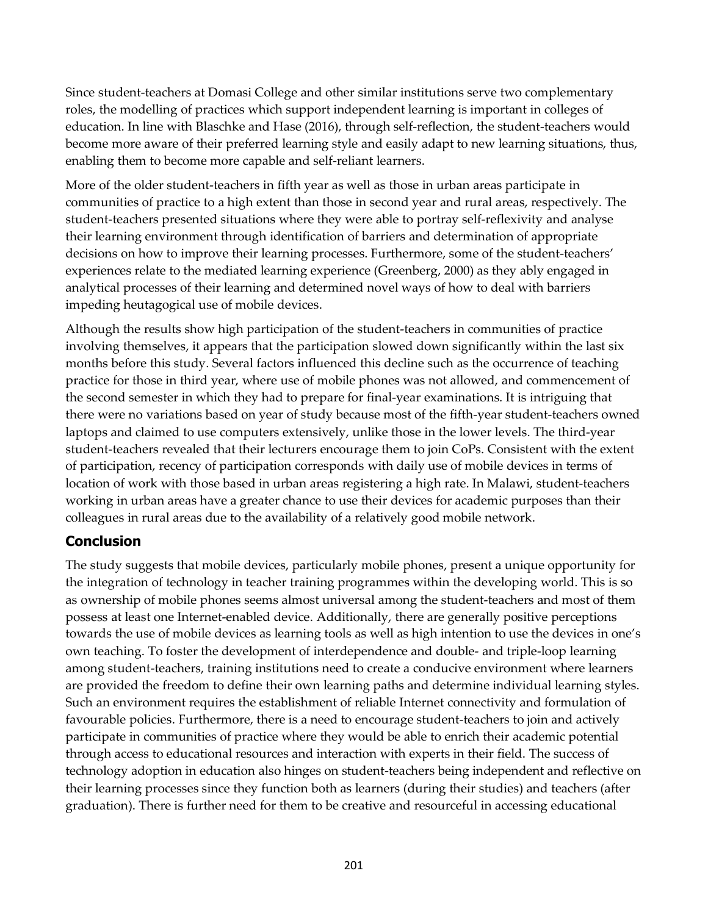Since student-teachers at Domasi College and other similar institutions serve two complementary roles, the modelling of practices which support independent learning is important in colleges of education. In line with Blaschke and Hase (2016), through self-reflection, the student-teachers would become more aware of their preferred learning style and easily adapt to new learning situations, thus, enabling them to become more capable and self-reliant learners.

More of the older student-teachers in fifth year as well as those in urban areas participate in communities of practice to a high extent than those in second year and rural areas, respectively. The student-teachers presented situations where they were able to portray self-reflexivity and analyse their learning environment through identification of barriers and determination of appropriate decisions on how to improve their learning processes. Furthermore, some of the student-teachers' experiences relate to the mediated learning experience (Greenberg, 2000) as they ably engaged in analytical processes of their learning and determined novel ways of how to deal with barriers impeding heutagogical use of mobile devices.

Although the results show high participation of the student-teachers in communities of practice involving themselves, it appears that the participation slowed down significantly within the last six months before this study. Several factors influenced this decline such as the occurrence of teaching practice for those in third year, where use of mobile phones was not allowed, and commencement of the second semester in which they had to prepare for final-year examinations. It is intriguing that there were no variations based on year of study because most of the fifth-year student-teachers owned laptops and claimed to use computers extensively, unlike those in the lower levels. The third-year student-teachers revealed that their lecturers encourage them to join CoPs. Consistent with the extent of participation, recency of participation corresponds with daily use of mobile devices in terms of location of work with those based in urban areas registering a high rate. In Malawi, student-teachers working in urban areas have a greater chance to use their devices for academic purposes than their colleagues in rural areas due to the availability of a relatively good mobile network.

# **Conclusion**

The study suggests that mobile devices, particularly mobile phones, present a unique opportunity for the integration of technology in teacher training programmes within the developing world. This is so as ownership of mobile phones seems almost universal among the student-teachers and most of them possess at least one Internet-enabled device. Additionally, there are generally positive perceptions towards the use of mobile devices as learning tools as well as high intention to use the devices in one's own teaching. To foster the development of interdependence and double- and triple-loop learning among student-teachers, training institutions need to create a conducive environment where learners are provided the freedom to define their own learning paths and determine individual learning styles. Such an environment requires the establishment of reliable Internet connectivity and formulation of favourable policies. Furthermore, there is a need to encourage student-teachers to join and actively participate in communities of practice where they would be able to enrich their academic potential through access to educational resources and interaction with experts in their field. The success of technology adoption in education also hinges on student-teachers being independent and reflective on their learning processes since they function both as learners (during their studies) and teachers (after graduation). There is further need for them to be creative and resourceful in accessing educational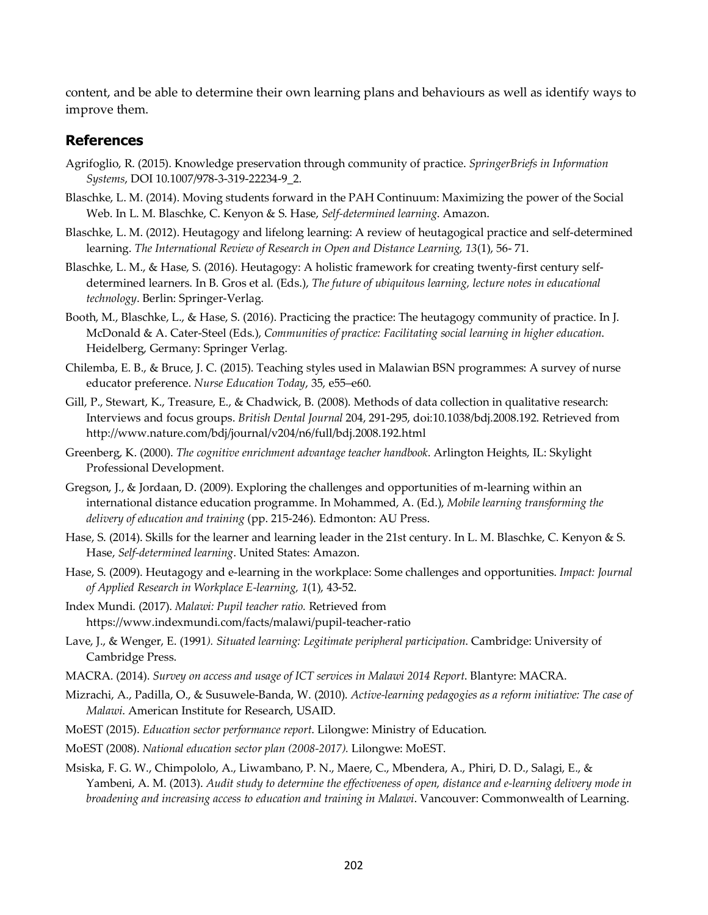content, and be able to determine their own learning plans and behaviours as well as identify ways to improve them.

# **References**

- Agrifoglio, R. (2015). Knowledge preservation through community of practice. *SpringerBriefs in Information Systems*, DOI 10.1007/978-3-319-22234-9\_2.
- Blaschke, L. M. (2014). Moving students forward in the PAH Continuum: Maximizing the power of the Social Web. In L. M. Blaschke, C. Kenyon & S. Hase, *Self-determined learning*. Amazon.
- Blaschke, L. M. (2012). Heutagogy and lifelong learning: A review of heutagogical practice and self-determined learning. *The International Review of Research in Open and Distance Learning, 13*(1), 56- 71.
- Blaschke, L. M., & Hase, S. (2016). Heutagogy: A holistic framework for creating twenty-first century selfdetermined learners. In B. Gros et al. (Eds.), *The future of ubiquitous learning, lecture notes in educational technology*. Berlin: Springer-Verlag.
- Booth, M., Blaschke, L., & Hase, S. (2016). Practicing the practice: The heutagogy community of practice. In J. McDonald & A. Cater-Steel (Eds.), *Communities of practice: Facilitating social learning in higher education*. Heidelberg, Germany: Springer Verlag.
- Chilemba, E. B., & Bruce, J. C. (2015). Teaching styles used in Malawian BSN programmes: A survey of nurse educator preference. *Nurse Education Today*, 35, e55–e60.
- Gill, P., Stewart, K., Treasure, E., & Chadwick, B. (2008). Methods of data collection in qualitative research: Interviews and focus groups. *British Dental Journal* 204, 291-295, doi:10.1038/bdj.2008.192. Retrieved from http://www.nature.com/bdj/journal/v204/n6/full/bdj.2008.192.html
- Greenberg, K. (2000). *The cognitive enrichment advantage teacher handbook*. Arlington Heights, IL: Skylight Professional Development.
- Gregson, J., & Jordaan, D. (2009). Exploring the challenges and opportunities of m-learning within an international distance education programme. In Mohammed, A. (Ed.), *Mobile learning transforming the delivery of education and training* (pp. 215-246). Edmonton: AU Press.
- Hase, S. (2014). Skills for the learner and learning leader in the 21st century. In L. M. Blaschke, C. Kenyon & S. Hase, *Self-determined learning*. United States: Amazon.
- Hase, S. (2009). Heutagogy and e-learning in the workplace: Some challenges and opportunities. *Impact: Journal of Applied Research in Workplace E-learning, 1*(1), 43-52.
- Index Mundi. (2017). *Malawi: Pupil teacher ratio.* Retrieved from https://www.indexmundi.com/facts/malawi/pupil-teacher-ratio
- Lave, J., & Wenger, E. (1991*). Situated learning: Legitimate peripheral participation*. Cambridge: University of Cambridge Press.
- MACRA. (2014). *Survey on access and usage of ICT services in Malawi 2014 Report*. Blantyre: MACRA.
- Mizrachi, A., Padilla, O., & Susuwele-Banda, W. (2010). *Active-learning pedagogies as a reform initiative: The case of Malawi*. American Institute for Research, USAID.
- MoEST (2015). *Education sector performance report*. Lilongwe: Ministry of Education.
- MoEST (2008). *National education sector plan (2008-2017).* Lilongwe: MoEST.
- Msiska, F. G. W., Chimpololo, A., Liwambano, P. N., Maere, C., Mbendera, A., Phiri, D. D., Salagi, E., & Yambeni, A. M. (2013). *Audit study to determine the effectiveness of open, distance and e-learning delivery mode in broadening and increasing access to education and training in Malawi*. Vancouver: Commonwealth of Learning.